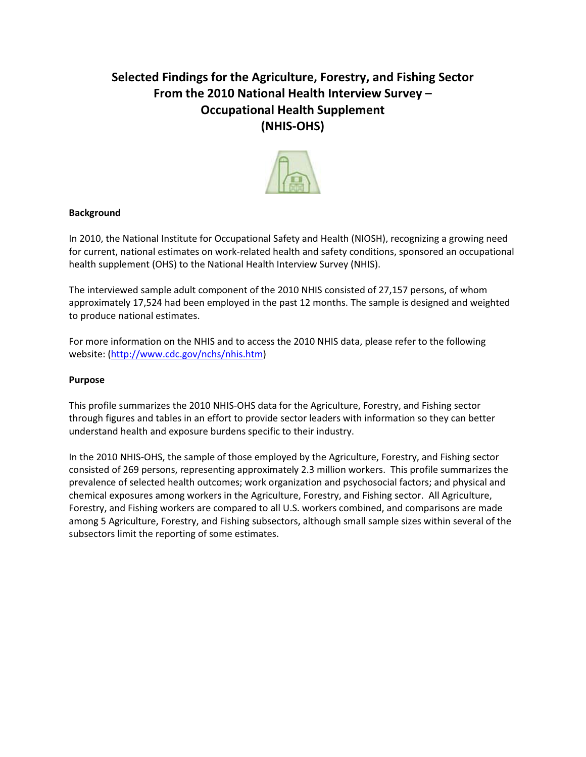### **Selected Findings for the Agriculture, Forestry, and Fishing Sector From the 2010 National Health Interview Survey – Occupational Health Supplement (NHIS-OHS)**



### **Background**

In 2010, the National Institute for Occupational Safety and Health (NIOSH), recognizing a growing need for current, national estimates on work-related health and safety conditions, sponsored an occupational health supplement (OHS) to the National Health Interview Survey (NHIS).

The interviewed sample adult component of the 2010 NHIS consisted of 27,157 persons, of whom approximately 17,524 had been employed in the past 12 months. The sample is designed and weighted to produce national estimates.

For more information on the NHIS and to access the 2010 NHIS data, please refer to the following website: (http://www.cdc.gov/nchs/nhis.htm)

### **Purpose**

This profile summarizes the 2010 NHIS-OHS data for the Agriculture, Forestry, and Fishing sector through figures and tables in an effort to provide sector leaders with information so they can better understand health and exposure burdens specific to their industry.

 prevalence of selected health outcomes; work organization and psychosocial factors; and physical and In the 2010 NHIS-OHS, the sample of those employed by the Agriculture, Forestry, and Fishing sector consisted of 269 persons, representing approximately 2.3 million workers. This profile summarizes the chemical exposures among workers in the Agriculture, Forestry, and Fishing sector. All Agriculture, Forestry, and Fishing workers are compared to all U.S. workers combined, and comparisons are made among 5 Agriculture, Forestry, and Fishing subsectors, although small sample sizes within several of the subsectors limit the reporting of some estimates.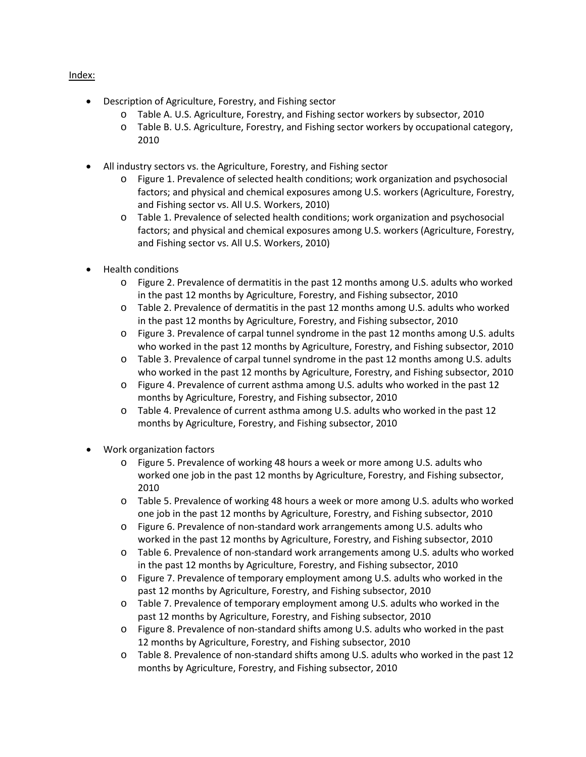### Index:

- Description of Agriculture, Forestry, and Fishing sector
	- o Table A. U.S. Agriculture, Forestry, and Fishing sector workers by subsector, 2010
	- o Table B. U.S. Agriculture, Forestry, and Fishing sector workers by occupational category, 2010
- All industry sectors vs. the Agriculture, Forestry, and Fishing sector
	- o Figure 1. Prevalence of selected health conditions; work organization and psychosocial factors; and physical and chemical exposures among U.S. workers (Agriculture, Forestry, and Fishing sector vs. All U.S. Workers, 2010)
	- o Table 1. Prevalence of selected health conditions; work organization and psychosocial factors; and physical and chemical exposures among U.S. workers (Agriculture, Forestry, and Fishing sector vs. All U.S. Workers, 2010)
- Health conditions
	- o Figure 2. Prevalence of dermatitis in the past 12 months among U.S. adults who worked in the past 12 months by Agriculture, Forestry, and Fishing subsector, 2010
	- o Table 2. Prevalence of dermatitis in the past 12 months among U.S. adults who worked in the past 12 months by Agriculture, Forestry, and Fishing subsector, 2010
	- o Figure 3. Prevalence of carpal tunnel syndrome in the past 12 months among U.S. adults who worked in the past 12 months by Agriculture, Forestry, and Fishing subsector, 2010
	- o Table 3. Prevalence of carpal tunnel syndrome in the past 12 months among U.S. adults who worked in the past 12 months by Agriculture, Forestry, and Fishing subsector, 2010
	- o Figure 4. Prevalence of current asthma among U.S. adults who worked in the past 12 months by Agriculture, Forestry, and Fishing subsector, 2010
	- o Table 4. Prevalence of current asthma among U.S. adults who worked in the past 12 months by Agriculture, Forestry, and Fishing subsector, 2010
- Work organization factors
	- o Figure 5. Prevalence of working 48 hours a week or more among U.S. adults who worked one job in the past 12 months by Agriculture, Forestry, and Fishing subsector, 2010
	- o Table 5. Prevalence of working 48 hours a week or more among U.S. adults who worked one job in the past 12 months by Agriculture, Forestry, and Fishing subsector, 2010
	- o Figure 6. Prevalence of non-standard work arrangements among U.S. adults who worked in the past 12 months by Agriculture, Forestry, and Fishing subsector, 2010
	- o Table 6. Prevalence of non-standard work arrangements among U.S. adults who worked in the past 12 months by Agriculture, Forestry, and Fishing subsector, 2010
	- o Figure 7. Prevalence of temporary employment among U.S. adults who worked in the past 12 months by Agriculture, Forestry, and Fishing subsector, 2010
	- o Table 7. Prevalence of temporary employment among U.S. adults who worked in the past 12 months by Agriculture, Forestry, and Fishing subsector, 2010
	- o Figure 8. Prevalence of non-standard shifts among U.S. adults who worked in the past 12 months by Agriculture, Forestry, and Fishing subsector, 2010
	- o Table 8. Prevalence of non-standard shifts among U.S. adults who worked in the past 12 months by Agriculture, Forestry, and Fishing subsector, 2010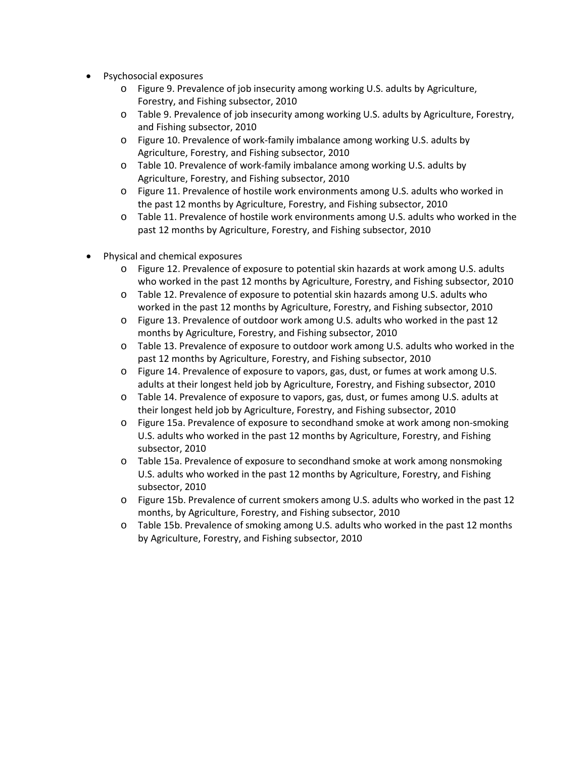- Psychosocial exposures
	- o Figure 9. Prevalence of job insecurity among working U.S. adults by Agriculture, Forestry, and Fishing subsector, 2010
	- o Table 9. Prevalence of job insecurity among working U.S. adults by Agriculture, Forestry, and Fishing subsector, 2010
	- o Figure 10. Prevalence of work-family imbalance among working U.S. adults by Agriculture, Forestry, and Fishing subsector, 2010
	- o Table 10. Prevalence of work-family imbalance among working U.S. adults by Agriculture, Forestry, and Fishing subsector, 2010
	- o Figure 11. Prevalence of hostile work environments among U.S. adults who worked in the past 12 months by Agriculture, Forestry, and Fishing subsector, 2010
	- o Table 11. Prevalence of hostile work environments among U.S. adults who worked in the past 12 months by Agriculture, Forestry, and Fishing subsector, 2010
- Physical and chemical exposures
	- o Figure 12. Prevalence of exposure to potential skin hazards at work among U.S. adults who worked in the past 12 months by Agriculture, Forestry, and Fishing subsector, 2010
	- o Table 12. Prevalence of exposure to potential skin hazards among U.S. adults who worked in the past 12 months by Agriculture, Forestry, and Fishing subsector, 2010
	- o Figure 13. Prevalence of outdoor work among U.S. adults who worked in the past 12 months by Agriculture, Forestry, and Fishing subsector, 2010
	- o Table 13. Prevalence of exposure to outdoor work among U.S. adults who worked in the past 12 months by Agriculture, Forestry, and Fishing subsector, 2010
	- o Figure 14. Prevalence of exposure to vapors, gas, dust, or fumes at work among U.S. adults at their longest held job by Agriculture, Forestry, and Fishing subsector, 2010
	- o Table 14. Prevalence of exposure to vapors, gas, dust, or fumes among U.S. adults at their longest held job by Agriculture, Forestry, and Fishing subsector, 2010
	- o Figure 15a. Prevalence of exposure to secondhand smoke at work among non-smoking U.S. adults who worked in the past 12 months by Agriculture, Forestry, and Fishing subsector, 2010
	- o Table 15a. Prevalence of exposure to secondhand smoke at work among nonsmoking U.S. adults who worked in the past 12 months by Agriculture, Forestry, and Fishing subsector, 2010
	- o Figure 15b. Prevalence of current smokers among U.S. adults who worked in the past 12 months, by Agriculture, Forestry, and Fishing subsector, 2010
	- o Table 15b. Prevalence of smoking among U.S. adults who worked in the past 12 months by Agriculture, Forestry, and Fishing subsector, 2010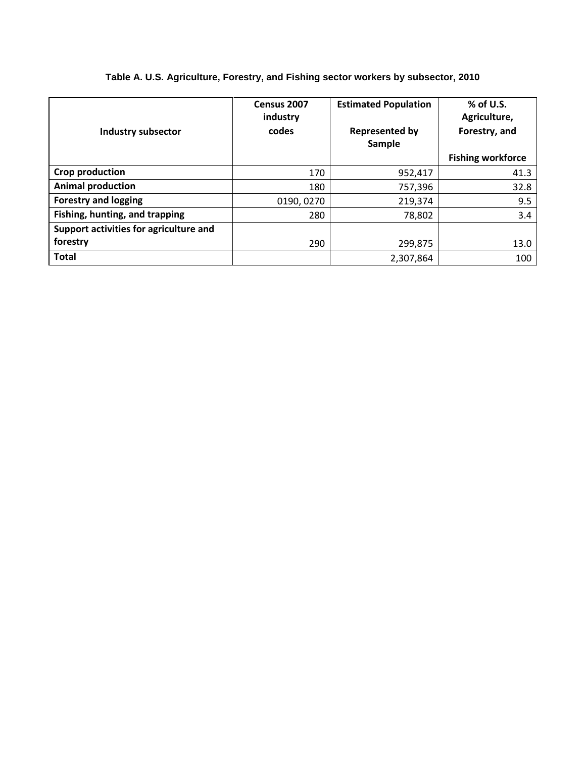| <b>Industry subsector</b>              | Census 2007<br>industry<br>codes | <b>Estimated Population</b><br><b>Represented by</b><br>Sample | $%$ of U.S.<br>Agriculture,<br>Forestry, and<br><b>Fishing workforce</b> |
|----------------------------------------|----------------------------------|----------------------------------------------------------------|--------------------------------------------------------------------------|
| Crop production                        | 170                              | 952,417                                                        | 41.3                                                                     |
| <b>Animal production</b>               | 180                              | 757,396                                                        | 32.8                                                                     |
| <b>Forestry and logging</b>            | 0190, 0270                       | 219,374                                                        | 9.5                                                                      |
| Fishing, hunting, and trapping         | 280                              | 78,802                                                         | 3.4                                                                      |
| Support activities for agriculture and |                                  |                                                                |                                                                          |
| forestry                               | 290                              | 299,875                                                        | 13.0                                                                     |
| <b>Total</b>                           |                                  | 2,307,864                                                      | 100                                                                      |

### **Table A. U.S. Agriculture, Forestry, and Fishing sector workers by subsector, 2010**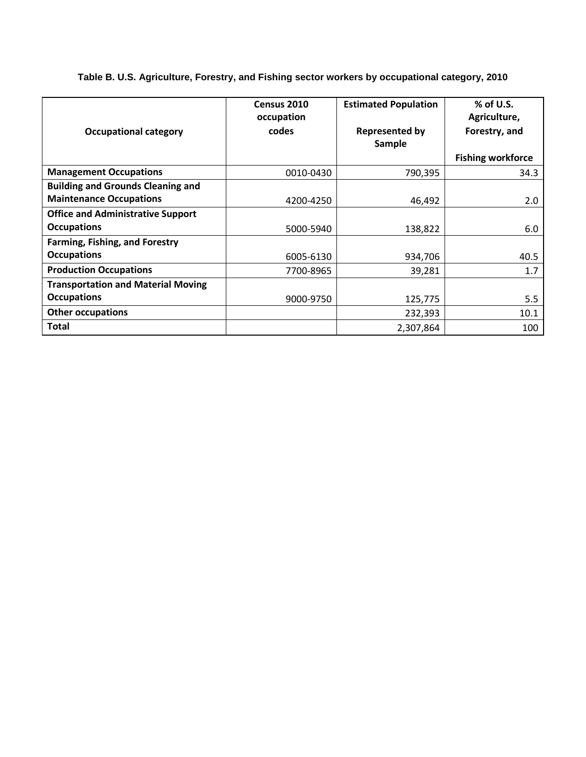|                                           | Census 2010 | <b>Estimated Population</b> | % of U.S.                |
|-------------------------------------------|-------------|-----------------------------|--------------------------|
|                                           | occupation  |                             | Agriculture,             |
| <b>Occupational category</b>              | codes       | <b>Represented by</b>       | Forestry, and            |
|                                           |             | Sample                      |                          |
|                                           |             |                             |                          |
|                                           |             |                             | <b>Fishing workforce</b> |
| <b>Management Occupations</b>             | 0010-0430   | 790,395                     | 34.3                     |
| <b>Building and Grounds Cleaning and</b>  |             |                             |                          |
| <b>Maintenance Occupations</b>            | 4200-4250   | 46,492                      | 2.0                      |
| <b>Office and Administrative Support</b>  |             |                             |                          |
| <b>Occupations</b>                        | 5000-5940   | 138,822                     | 6.0                      |
| <b>Farming, Fishing, and Forestry</b>     |             |                             |                          |
| <b>Occupations</b>                        | 6005-6130   | 934,706                     | 40.5                     |
| <b>Production Occupations</b>             | 7700-8965   | 39,281                      | 1.7                      |
| <b>Transportation and Material Moving</b> |             |                             |                          |
| <b>Occupations</b>                        | 9000-9750   | 125,775                     | 5.5                      |
| <b>Other occupations</b>                  |             | 232,393                     | 10.1                     |
| Total                                     |             | 2,307,864                   | 100                      |

**Table B. U.S. Agriculture, Forestry, and Fishing sector workers by occupational category, 2010**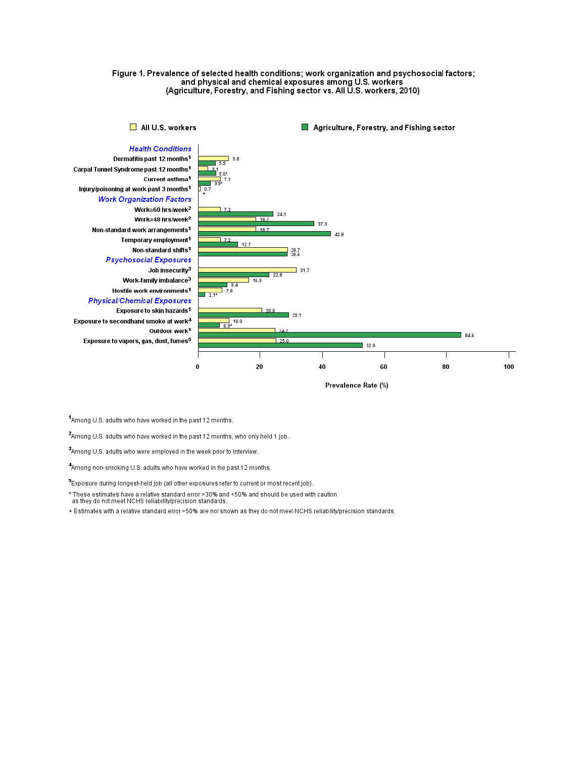#### Figure 1. Prevalence of selected health conditions; work organization and psychosocial factors; and physical and chemical exposures among U.S. workers (Agriculture, Forestry, and Fishing sector vs. All U.S. workers, 2010)



Prevalence Rate (%)

<sup>1</sup>Among U.S. adults who have worked in the past 12 months.

<sup>2</sup>Among U.S. adults who have worked in the past 12 months, who only held 1 job.

3Among U.S. adults who were employed in the week prior to interview.

4Among non-smoking U.S. adults who have worked in the past 12 months.

<sup>5</sup> Exposure during longest-held job (all other exposures refer to current or most recent job).

\* These estimates have a relative standard error >30% and <50% and should be used with caution<br>as they do not meet NCHS reliability/precision standards.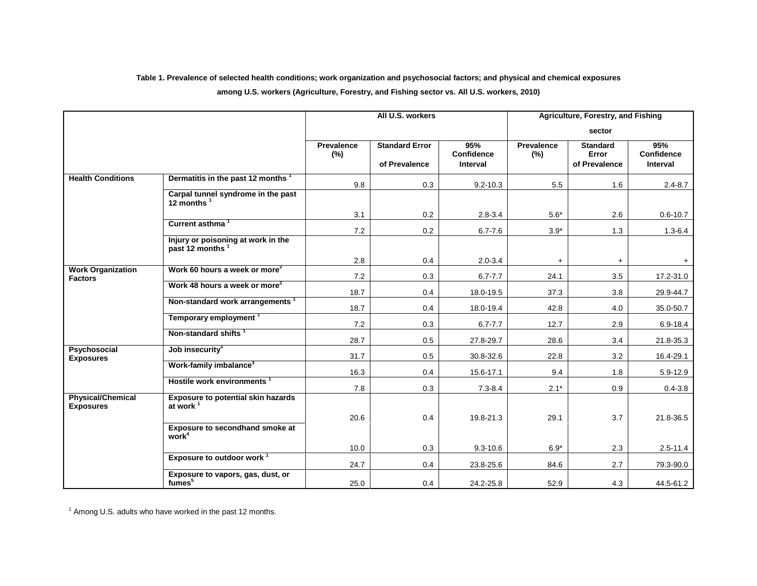#### **Table 1. Prevalence of selected health conditions; work organization and psychosocial factors; and physical and chemical exposures**

#### **among U.S. workers (Agriculture, Forestry, and Fishing sector vs. All U.S. workers, 2010)**

|                                              |                                                                   |                          | All U.S. workers                       |                                             |                          | Agriculture, Forestry, and Fishing        |                                      |
|----------------------------------------------|-------------------------------------------------------------------|--------------------------|----------------------------------------|---------------------------------------------|--------------------------|-------------------------------------------|--------------------------------------|
|                                              |                                                                   |                          |                                        |                                             |                          | sector                                    |                                      |
|                                              |                                                                   | <b>Prevalence</b><br>(%) | <b>Standard Error</b><br>of Prevalence | 95%<br><b>Confidence</b><br><b>Interval</b> | <b>Prevalence</b><br>(%) | <b>Standard</b><br>Error<br>of Prevalence | 95%<br><b>Confidence</b><br>Interval |
| <b>Health Conditions</b>                     | Dermatitis in the past 12 months <sup>1</sup>                     | 9.8                      | 0.3                                    | $9.2 - 10.3$                                | 5.5                      | 1.6                                       | $2.4 - 8.7$                          |
|                                              | Carpal tunnel syndrome in the past<br>12 months                   |                          |                                        |                                             |                          |                                           |                                      |
|                                              |                                                                   | 3.1                      | 0.2                                    | $2.8 - 3.4$                                 | $5.6*$                   | 2.6                                       | $0.6 - 10.7$                         |
|                                              | Current asthma <sup>1</sup>                                       | $7.2\,$                  | 0.2                                    | $6.7 - 7.6$                                 | $3.9^{\ast}$             | $1.3$                                     | $1.3 - 6.4$                          |
|                                              | Injury or poisoning at work in the<br>past 12 months <sup>1</sup> |                          |                                        |                                             |                          |                                           |                                      |
|                                              |                                                                   | 2.8                      | 0.4                                    | $2.0 - 3.4$                                 | $+$                      | $+$                                       | $+$                                  |
| <b>Work Organization</b><br><b>Factors</b>   | Work 60 hours a week or more <sup>2</sup>                         | 7.2                      | 0.3                                    | $6.7 - 7.7$                                 | 24.1                     | 3.5                                       | 17.2-31.0                            |
|                                              | Work 48 hours a week or more <sup>2</sup>                         | 18.7                     | 0.4                                    | 18.0-19.5                                   | 37.3                     | 3.8                                       | 29.9-44.7                            |
|                                              | Non-standard work arrangements <sup>1</sup>                       | 18.7                     | 0.4                                    | 18.0-19.4                                   | 42.8                     | 4.0                                       | 35.0-50.7                            |
|                                              | Temporary employment <sup>1</sup>                                 | 7.2                      | 0.3                                    | $6.7 - 7.7$                                 | 12.7                     | 2.9                                       | 6.9-18.4                             |
|                                              | Non-standard shifts <sup>1</sup>                                  | 28.7                     | 0.5                                    | 27.8-29.7                                   | 28.6                     | 3.4                                       | 21.8-35.3                            |
| <b>Psychosocial</b><br><b>Exposures</b>      | Job insecurity <sup>3</sup>                                       | 31.7                     | 0.5                                    | 30.8-32.6                                   | 22.8                     | 3.2                                       | 16.4-29.1                            |
|                                              | Work-family imbalance <sup>3</sup>                                | 16.3                     | 0.4                                    | 15.6-17.1                                   | 9.4                      | 1.8                                       | 5.9-12.9                             |
|                                              | Hostile work environments                                         | 7.8                      | 0.3                                    | $7.3 - 8.4$                                 | $2.1*$                   | 0.9                                       | $0.4 - 3.8$                          |
| <b>Physical/Chemical</b><br><b>Exposures</b> | <b>Exposure to potential skin hazards</b><br>at work $1$          |                          |                                        |                                             |                          |                                           |                                      |
|                                              |                                                                   | 20.6                     | 0.4                                    | 19.8-21.3                                   | 29.1                     | 3.7                                       | 21.8-36.5                            |
|                                              | Exposure to secondhand smoke at<br>work <sup>4</sup>              |                          |                                        |                                             |                          |                                           |                                      |
|                                              |                                                                   | 10.0                     | 0.3                                    | $9.3 - 10.6$                                | $6.9*$                   | 2.3                                       | $2.5 - 11.4$                         |
|                                              | Exposure to outdoor work <sup>1</sup>                             | 24.7                     | 0.4                                    | 23.8-25.6                                   | 84.6                     | 2.7                                       | 79.3-90.0                            |
|                                              | Exposure to vapors, gas, dust, or<br>fumes <sup>5</sup>           | 25.0                     | 0.4                                    | 24.2-25.8                                   | 52.9                     | 4.3                                       | 44.5-61.2                            |

 $1$  Among U.S. adults who have worked in the past 12 months.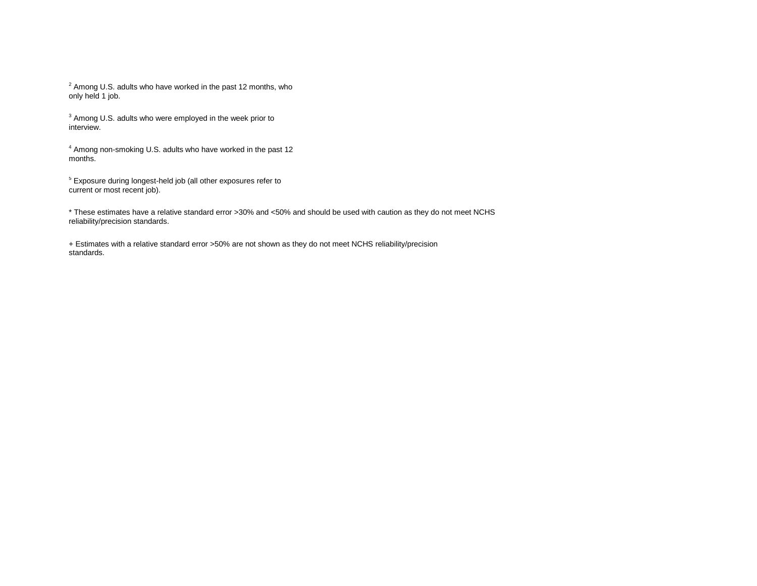$2$  Among U.S. adults who have worked in the past 12 months, who only held 1 job.

<sup>3</sup> Among U.S. adults who were employed in the week prior to interview.

<sup>4</sup> Among non-smoking U.S. adults who have worked in the past 12 months.

<sup>5</sup> Exposure during longest-held job (all other exposures refer to current or most recent job).

\* These estimates have a relative standard error >30% and <50% and should be used with caution as they do not meet NCHS reliability/precision standards.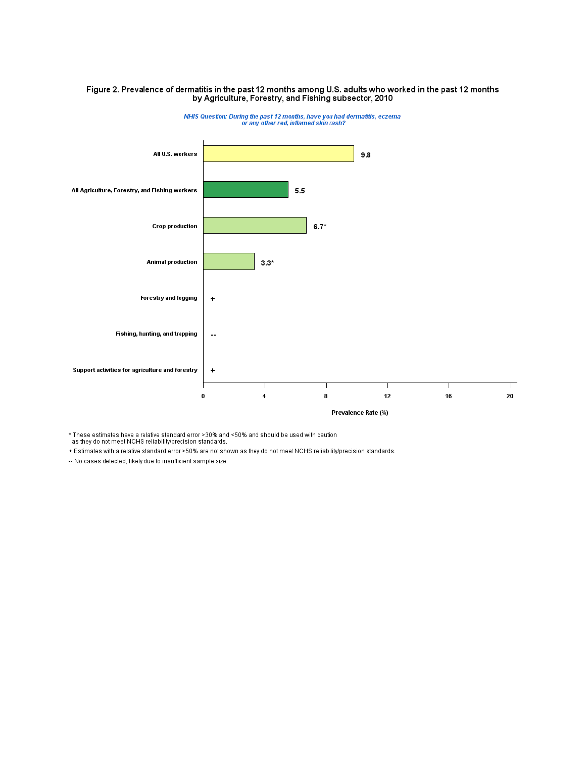# Figure 2. Prevalence of dermatitis in the past 12 months among U.S. adults who worked in the past 12 months<br>by Agriculture, Forestry, and Fishing subsector, 2010



NHIS Question: During the past 12 months, have you had dermatitis, eczema<br>or any other red, inflamed skin rash?

\* These estimates have a relative standard error >30% and <50% and should be used with caution<br>as they do not meet NCHS reliability/precision standards.

+ Estimates with a relative standard error >50% are not shown as they do not meet NCHS reliability/precision standards.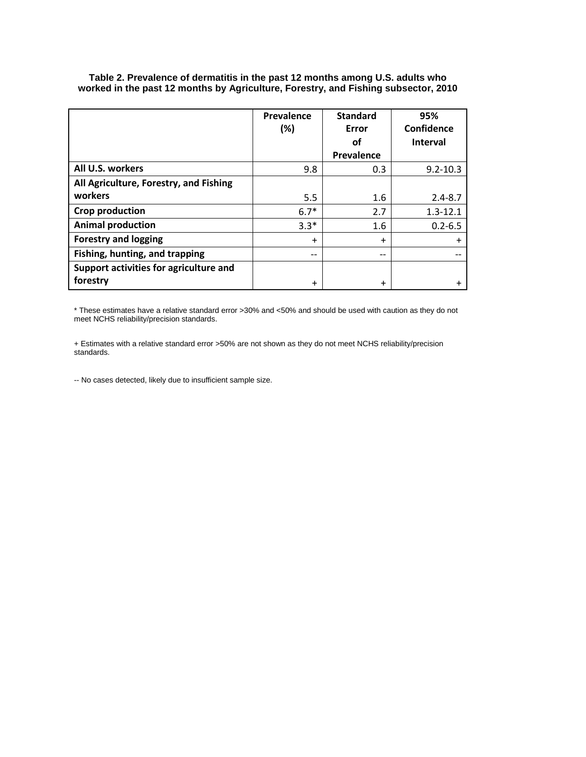|                                        | Prevalence<br>(%) | <b>Standard</b><br>Error | 95%<br>Confidence |
|----------------------------------------|-------------------|--------------------------|-------------------|
|                                        |                   | οf                       | <b>Interval</b>   |
|                                        |                   | Prevalence               |                   |
| All U.S. workers                       | 9.8               | 0.3                      | $9.2 - 10.3$      |
| All Agriculture, Forestry, and Fishing |                   |                          |                   |
| workers                                | 5.5               | 1.6                      | $2.4 - 8.7$       |
| Crop production                        | $6.7*$            | 2.7                      | $1.3 - 12.1$      |
| <b>Animal production</b>               | $3.3*$            | 1.6                      | $0.2 - 6.5$       |
| <b>Forestry and logging</b>            | $\ddot{}$         | $\ddot{}$                | $\ddot{}$         |
| Fishing, hunting, and trapping         | --                | $- -$                    | --                |
| Support activities for agriculture and |                   |                          |                   |
| forestry                               | $\ddot{}$         | +                        |                   |

**Table 2. Prevalence of dermatitis in the past 12 months among U.S. adults who worked in the past 12 months by Agriculture, Forestry, and Fishing subsector, 2010**

\* These estimates have a relative standard error >30% and <50% and should be used with caution as they do not meet NCHS reliability/precision standards.

+ Estimates with a relative standard error >50% are not shown as they do not meet NCHS reliability/precision standards.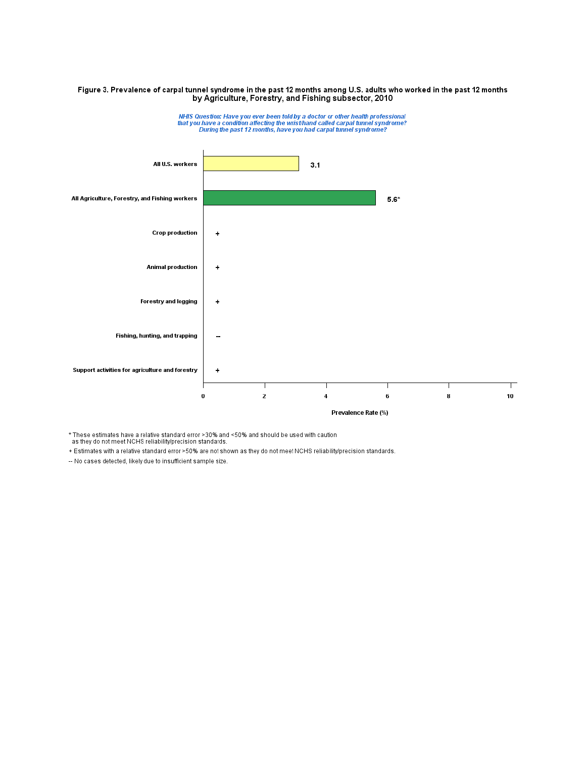# Figure 3. Prevalence of carpal tunnel syndrome in the past 12 months among U.S. adults who worked in the past 12 months<br>by Agriculture, Forestry, and Fishing subsector, 2010



NHIS Question: Have you ever been told by a doctor or other health professional<br>that you have a condition affecting the wrist/hand called carpal tunnel syndrome?<br>During the past 12 months, have you had carpal tunnel syndro

\* These estimates have a relative standard error >30% and <50% and should be used with caution<br>as they do not meet NCHS reliability/precision standards.

+ Estimates with a relative standard error >50% are not shown as they do not meet NCHS reliability/precision standards.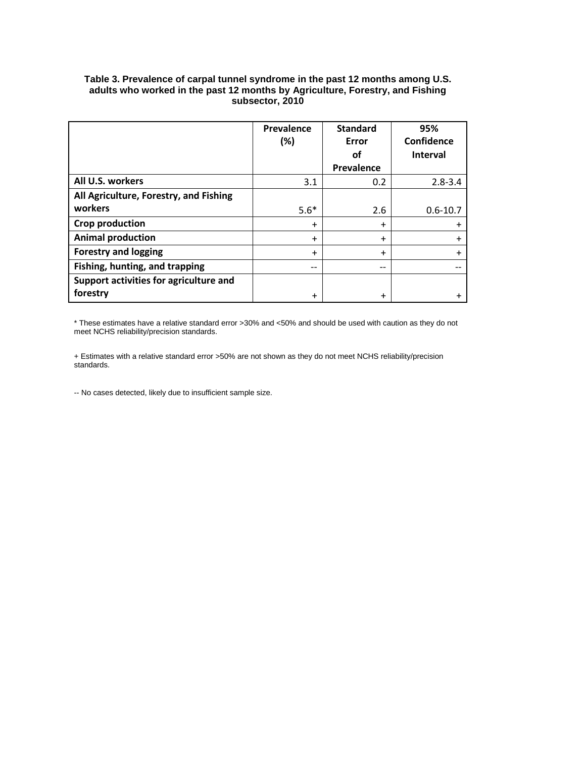| Table 3. Prevalence of carpal tunnel syndrome in the past 12 months among U.S. |
|--------------------------------------------------------------------------------|
| adults who worked in the past 12 months by Agriculture, Forestry, and Fishing  |
| subsector. 2010                                                                |

|                                        | Prevalence<br>$(\%)$ | <b>Standard</b><br>Error | 95%<br>Confidence |
|----------------------------------------|----------------------|--------------------------|-------------------|
|                                        |                      | οf                       | <b>Interval</b>   |
|                                        |                      | Prevalence               |                   |
| All U.S. workers                       | 3.1                  | 0.2                      | $2.8 - 3.4$       |
| All Agriculture, Forestry, and Fishing |                      |                          |                   |
| workers                                | $5.6*$               | 2.6                      | $0.6 - 10.7$      |
| <b>Crop production</b>                 | $\ddot{}$            | $\ddot{}$                |                   |
| <b>Animal production</b>               | $\ddot{}$            | $\ddot{}$                |                   |
| <b>Forestry and logging</b>            | $\ddot{}$            | $\ddot{}$                |                   |
| Fishing, hunting, and trapping         | $- -$                | $- -$                    |                   |
| Support activities for agriculture and |                      |                          |                   |
| forestry                               | $\ddot{}$            | $\ddot{}$                |                   |

\* These estimates have a relative standard error >30% and <50% and should be used with caution as they do not meet NCHS reliability/precision standards.

+ Estimates with a relative standard error >50% are not shown as they do not meet NCHS reliability/precision standards.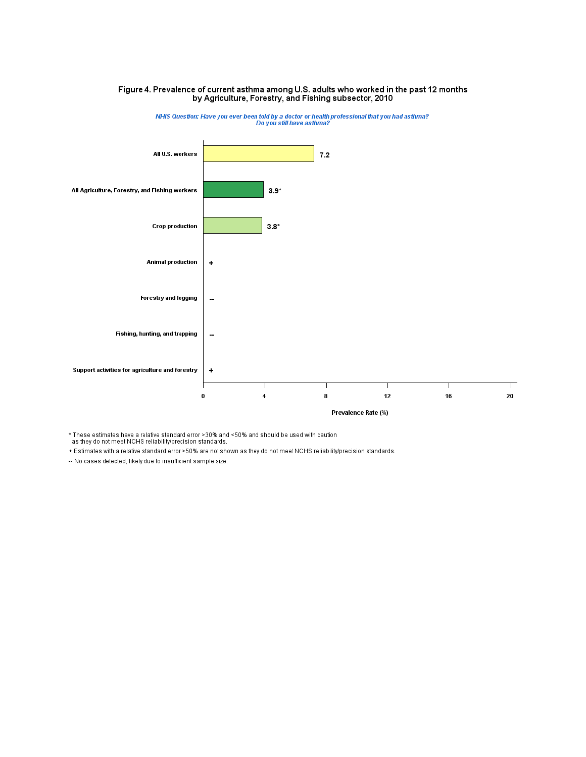

# Figure 4. Prevalence of current asthma among U.S. adults who worked in the past 12 months<br>by Agriculture, Forestry, and Fishing subsector, 2010

\* These estimates have a relative standard error >30% and <50% and should be used with caution<br>as they do not meet NCHS reliability/precision standards.

+ Estimates with a relative standard error >50% are not shown as they do not meet NCHS reliability/precision standards.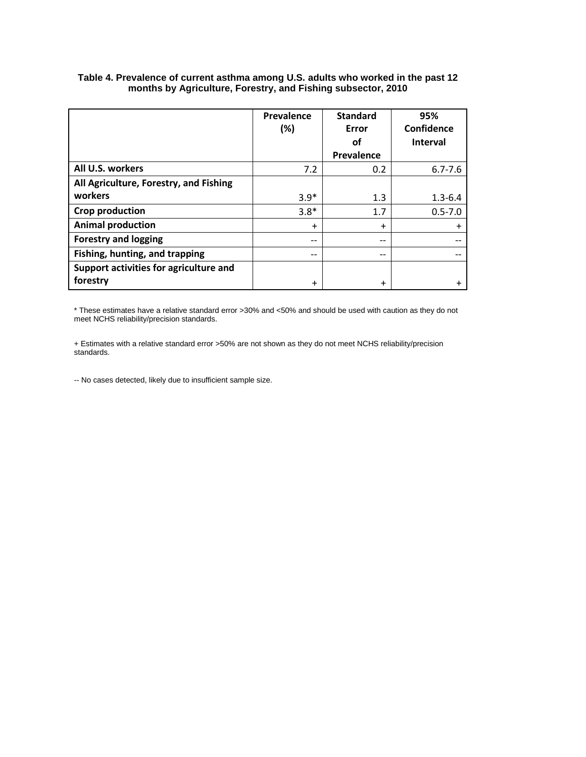|                                        | Prevalence<br>(%) | <b>Standard</b><br>Error | 95%<br>Confidence |
|----------------------------------------|-------------------|--------------------------|-------------------|
|                                        |                   | οf                       | <b>Interval</b>   |
|                                        |                   | Prevalence               |                   |
| All U.S. workers                       | 7.2               | 0.2                      | $6.7 - 7.6$       |
| All Agriculture, Forestry, and Fishing |                   |                          |                   |
| workers                                | $3.9*$            | 1.3                      | $1.3 - 6.4$       |
| Crop production                        | $3.8*$            | 1.7                      | $0.5 - 7.0$       |
| <b>Animal production</b>               | $\ddot{}$         | $\ddot{}$                | $\ddot{}$         |
| <b>Forestry and logging</b>            |                   | $- -$                    |                   |
| Fishing, hunting, and trapping         | $- -$             | $- -$                    | --                |
| Support activities for agriculture and |                   |                          |                   |
| forestry                               | +                 | $\ddot{}$                |                   |

#### **Table 4. Prevalence of current asthma among U.S. adults who worked in the past 12 months by Agriculture, Forestry, and Fishing subsector, 2010**

\* These estimates have a relative standard error >30% and <50% and should be used with caution as they do not meet NCHS reliability/precision standards.

+ Estimates with a relative standard error >50% are not shown as they do not meet NCHS reliability/precision standards.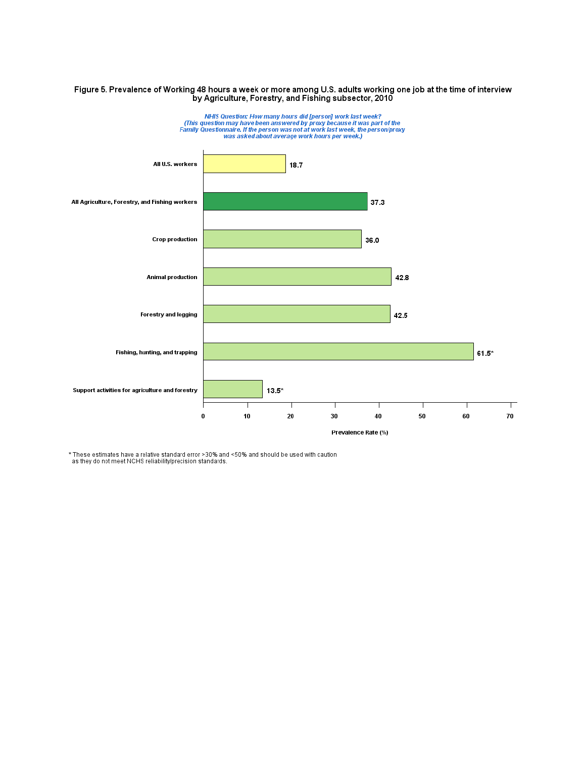# Figure 5. Prevalence of Working 48 hours a week or more among U.S. adults working one job at the time of interview<br>by Agriculture, Forestry, and Fishing subsector, 2010



\* These estimates have a relative standard error >30% and <50% and should be used with caution<br>as they do not meet NCHS reliability/precision standards.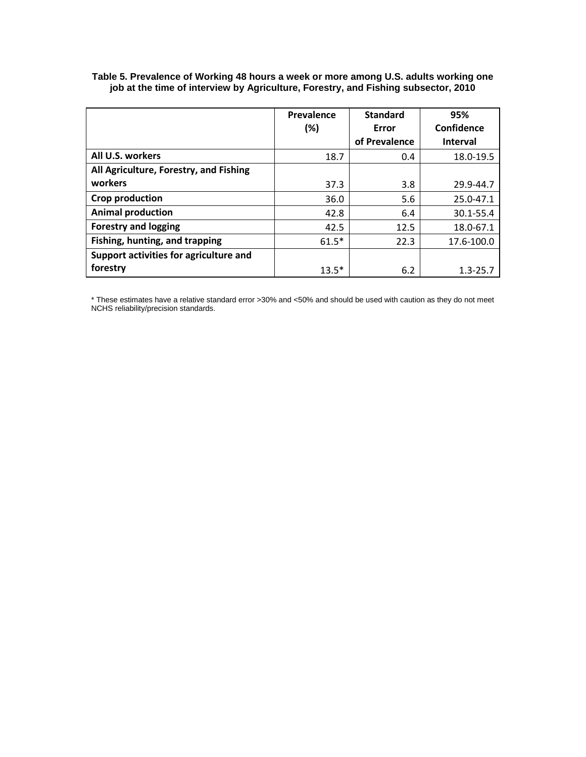|                                        | Prevalence | <b>Standard</b> | 95%             |
|----------------------------------------|------------|-----------------|-----------------|
|                                        | (%)        | Error           | Confidence      |
|                                        |            | of Prevalence   | <b>Interval</b> |
| All U.S. workers                       | 18.7       | 0.4             | 18.0-19.5       |
| All Agriculture, Forestry, and Fishing |            |                 |                 |
| workers                                | 37.3       | 3.8             | 29.9-44.7       |
| <b>Crop production</b>                 | 36.0       | 5.6             | 25.0-47.1       |
| <b>Animal production</b>               | 42.8       | 6.4             | 30.1-55.4       |
| <b>Forestry and logging</b>            | 42.5       | 12.5            | 18.0-67.1       |
| Fishing, hunting, and trapping         | $61.5*$    | 22.3            | 17.6-100.0      |
| Support activities for agriculture and |            |                 |                 |
| forestry                               | $13.5*$    | 6.2             | $1.3 - 25.7$    |

**Table 5. Prevalence of Working 48 hours a week or more among U.S. adults working one job at the time of interview by Agriculture, Forestry, and Fishing subsector, 2010**

\* These estimates have a relative standard error >30% and <50% and should be used with caution as they do not meet NCHS reliability/precision standards.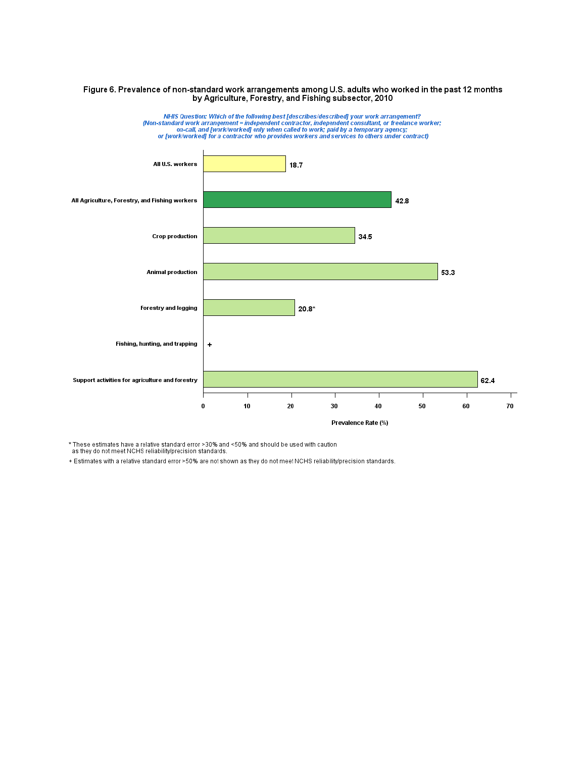#### Figure 6. Prevalence of non-standard work arrangements among U.S. adults who worked in the past 12 months by Agriculture, Forestry, and Fishing subsector, 2010



\* These estimates have a relative standard error >30% and <50% and should be used with caution

as they do not meet NCHS reliability/precision standards.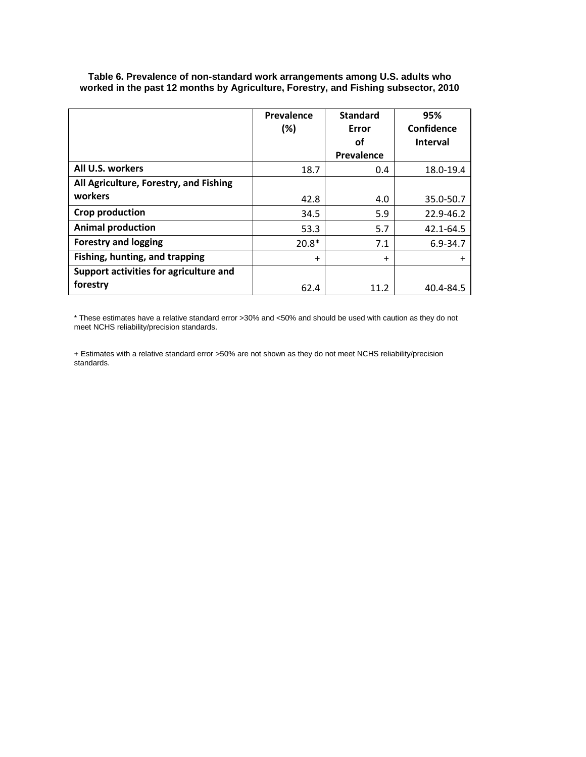|                                        | Prevalence<br>(%) | <b>Standard</b><br>Error | 95%<br>Confidence |
|----------------------------------------|-------------------|--------------------------|-------------------|
|                                        |                   | οf                       | <b>Interval</b>   |
|                                        |                   | Prevalence               |                   |
| All U.S. workers                       | 18.7              | 0.4                      | 18.0-19.4         |
| All Agriculture, Forestry, and Fishing |                   |                          |                   |
| workers                                | 42.8              | 4.0                      | 35.0-50.7         |
| <b>Crop production</b>                 | 34.5              | 5.9                      | 22.9-46.2         |
| <b>Animal production</b>               | 53.3              | 5.7                      | 42.1-64.5         |
| <b>Forestry and logging</b>            | $20.8*$           | 7.1                      | $6.9 - 34.7$      |
| Fishing, hunting, and trapping         | $\ddot{}$         | $\ddot{}$                | $\ddot{}$         |
| Support activities for agriculture and |                   |                          |                   |
| forestry                               | 62.4              | 11.2                     | 40.4-84.5         |

**Table 6. Prevalence of non-standard work arrangements among U.S. adults who worked in the past 12 months by Agriculture, Forestry, and Fishing subsector, 2010**

\* These estimates have a relative standard error >30% and <50% and should be used with caution as they do not meet NCHS reliability/precision standards.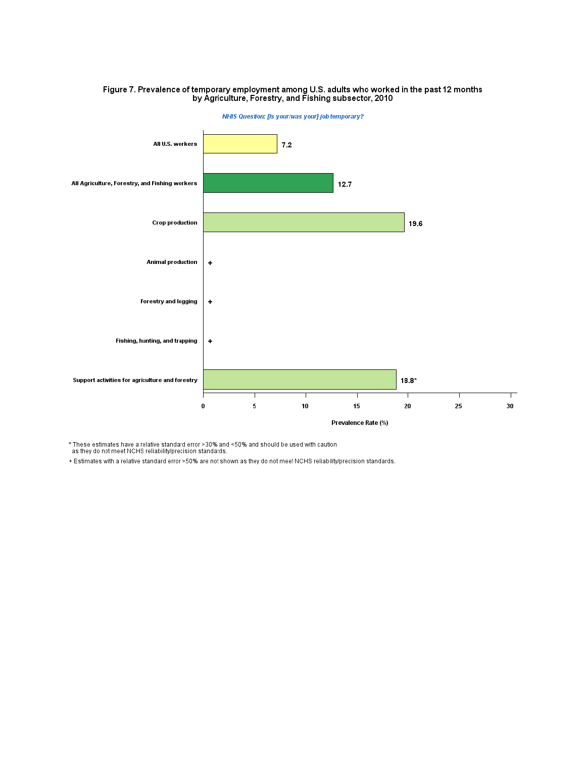

# Figure 7. Prevalence of temporary employment among U.S. adults who worked in the past 12 months<br>by Agriculture, Forestry, and Fishing subsector, 2010

\* These estimates have a relative standard error >30% and <50% and should be used with caution<br>as they do not meet NCHS reliability/precision standards.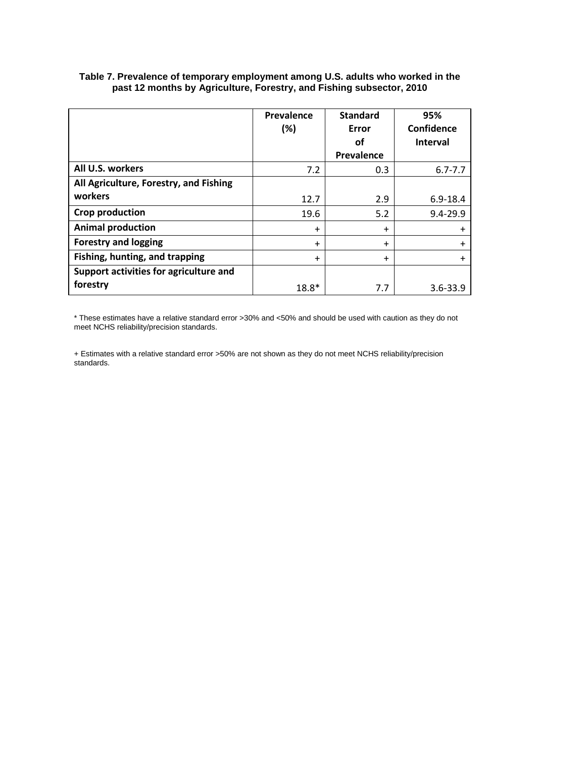|                                        | Prevalence | <b>Standard</b> | 95%             |
|----------------------------------------|------------|-----------------|-----------------|
|                                        | (%)        | Error           | Confidence      |
|                                        |            | οf              | <b>Interval</b> |
|                                        |            | Prevalence      |                 |
| All U.S. workers                       | 7.2        | 0.3             | $6.7 - 7.7$     |
| All Agriculture, Forestry, and Fishing |            |                 |                 |
| workers                                | 12.7       | 2.9             | $6.9 - 18.4$    |
| Crop production                        | 19.6       | 5.2             | $9.4 - 29.9$    |
| <b>Animal production</b>               | $\ddot{}$  | $\ddot{}$       | $\ddot{}$       |
| <b>Forestry and logging</b>            | $\ddot{}$  | $\ddot{}$       | $\ddot{}$       |
| Fishing, hunting, and trapping         | $\ddot{}$  | $\ddot{}$       | $\ddot{}$       |
| Support activities for agriculture and |            |                 |                 |
| forestry                               | $18.8*$    | 7.7             | $3.6 - 33.9$    |

#### **Table 7. Prevalence of temporary employment among U.S. adults who worked in the past 12 months by Agriculture, Forestry, and Fishing subsector, 2010**

\* These estimates have a relative standard error >30% and <50% and should be used with caution as they do not meet NCHS reliability/precision standards.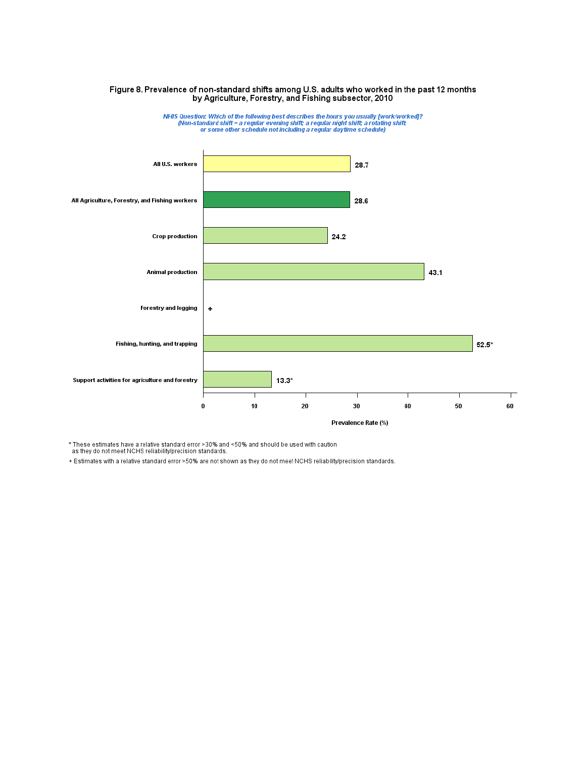

# Figure 8. Prevalence of non-standard shifts among U.S. adults who worked in the past 12 months<br>by Agriculture, Forestry, and Fishing subsector, 2010

\* These estimates have a relative standard error >30% and <50% and should be used with caution<br>as they do not meet NCHS reliability/precision standards.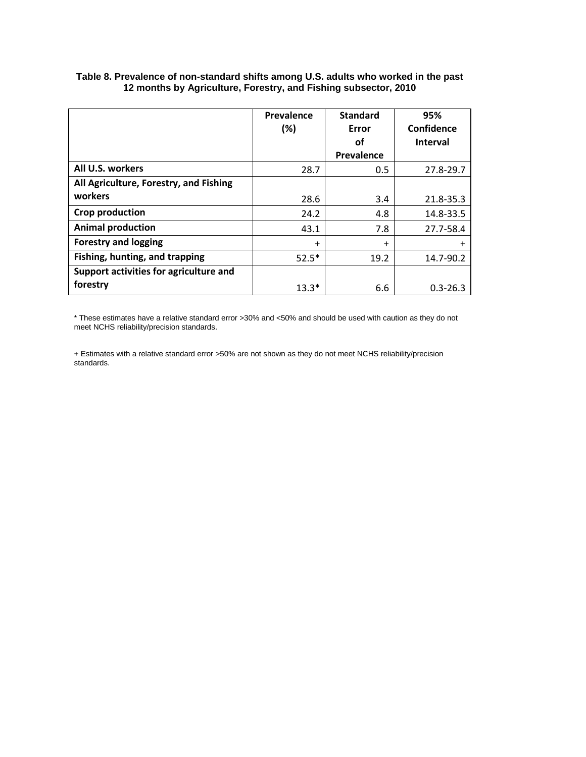|                                        | Prevalence<br>(%) | <b>Standard</b><br>Error | 95%<br>Confidence |
|----------------------------------------|-------------------|--------------------------|-------------------|
|                                        |                   | οf                       | <b>Interval</b>   |
|                                        |                   | Prevalence               |                   |
| All U.S. workers                       | 28.7              | 0.5                      | 27.8-29.7         |
| All Agriculture, Forestry, and Fishing |                   |                          |                   |
| workers                                | 28.6              | 3.4                      | 21.8-35.3         |
| Crop production                        | 24.2              | 4.8                      | 14.8-33.5         |
| <b>Animal production</b>               | 43.1              | 7.8                      | 27.7-58.4         |
| <b>Forestry and logging</b>            | $\ddot{}$         | $\ddot{}$                | $\ddot{}$         |
| Fishing, hunting, and trapping         | $52.5*$           | 19.2                     | 14.7-90.2         |
| Support activities for agriculture and |                   |                          |                   |
| forestry                               | $13.3*$           | 6.6                      | $0.3 - 26.3$      |

#### **Table 8. Prevalence of non-standard shifts among U.S. adults who worked in the past 12 months by Agriculture, Forestry, and Fishing subsector, 2010**

\* These estimates have a relative standard error >30% and <50% and should be used with caution as they do not meet NCHS reliability/precision standards.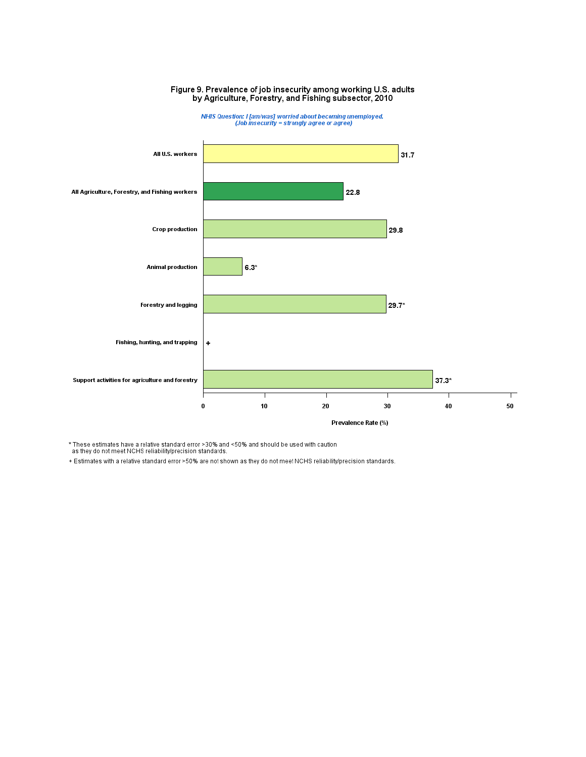

Figure 9. Prevalence of job insecurity among working U.S. adults<br>by Agriculture, Forestry, and Fishing subsector, 2010

\* These estimates have a relative standard error >30% and <50% and should be used with caution<br>as they do not meet NCHS reliability/precision standards.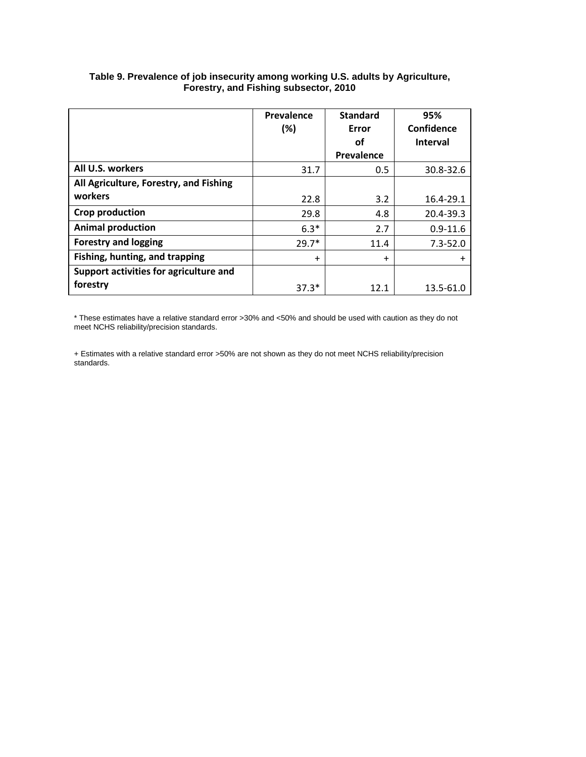|                                        | Prevalence | <b>Standard</b> | 95%             |
|----------------------------------------|------------|-----------------|-----------------|
|                                        | (%)        | Error           | Confidence      |
|                                        |            | οf              | <b>Interval</b> |
|                                        |            | Prevalence      |                 |
| All U.S. workers                       | 31.7       | 0.5             | 30.8-32.6       |
| All Agriculture, Forestry, and Fishing |            |                 |                 |
| workers                                | 22.8       | 3.2             | 16.4-29.1       |
| <b>Crop production</b>                 | 29.8       | 4.8             | 20.4-39.3       |
| <b>Animal production</b>               | $6.3*$     | 2.7             | $0.9 - 11.6$    |
| <b>Forestry and logging</b>            | $29.7*$    | 11.4            | $7.3 - 52.0$    |
| Fishing, hunting, and trapping         | $\ddot{}$  | $\ddot{}$       | $\ddot{}$       |
| Support activities for agriculture and |            |                 |                 |
| forestry                               | $37.3*$    | 12.1            | 13.5-61.0       |

#### **Table 9. Prevalence of job insecurity among working U.S. adults by Agriculture, Forestry, and Fishing subsector, 2010**

\* These estimates have a relative standard error >30% and <50% and should be used with caution as they do not meet NCHS reliability/precision standards.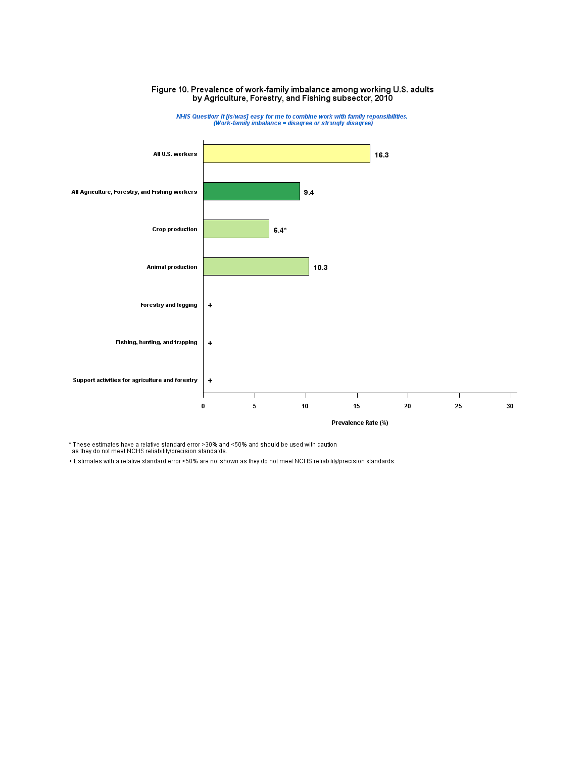

# Figure 10. Prevalence of work-family imbalance among working U.S. adults<br>by Agriculture, Forestry, and Fishing subsector, 2010

\* These estimates have a relative standard error >30% and <50% and should be used with caution<br>as they do not meet NCHS reliability/precision standards.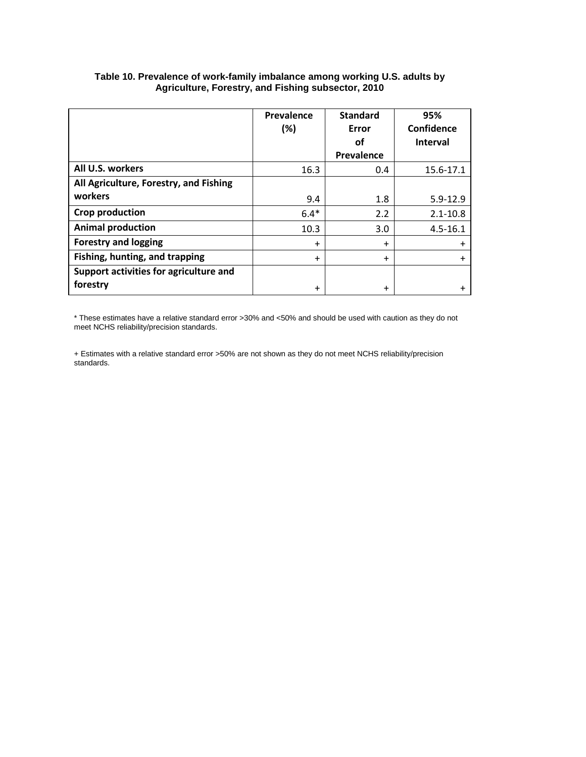|                                        | Prevalence<br>(%) | <b>Standard</b><br>Error | 95%<br>Confidence |
|----------------------------------------|-------------------|--------------------------|-------------------|
|                                        |                   | οf                       | <b>Interval</b>   |
|                                        |                   | Prevalence               |                   |
| All U.S. workers                       | 16.3              | 0.4                      | 15.6-17.1         |
| All Agriculture, Forestry, and Fishing |                   |                          |                   |
| workers                                | 9.4               | 1.8                      | $5.9 - 12.9$      |
| <b>Crop production</b>                 | $6.4*$            | 2.2                      | $2.1 - 10.8$      |
| <b>Animal production</b>               | 10.3              | 3.0                      | $4.5 - 16.1$      |
| <b>Forestry and logging</b>            | $\ddot{}$         | $\ddot{}$                | $\ddot{}$         |
| Fishing, hunting, and trapping         | $\ddot{}$         | $\ddot{}$                | $\ddot{}$         |
| Support activities for agriculture and |                   |                          |                   |
| forestry                               | $\ddot{}$         | $\ddot{}$                |                   |

#### **Table 10. Prevalence of work-family imbalance among working U.S. adults by Agriculture, Forestry, and Fishing subsector, 2010**

\* These estimates have a relative standard error >30% and <50% and should be used with caution as they do not meet NCHS reliability/precision standards.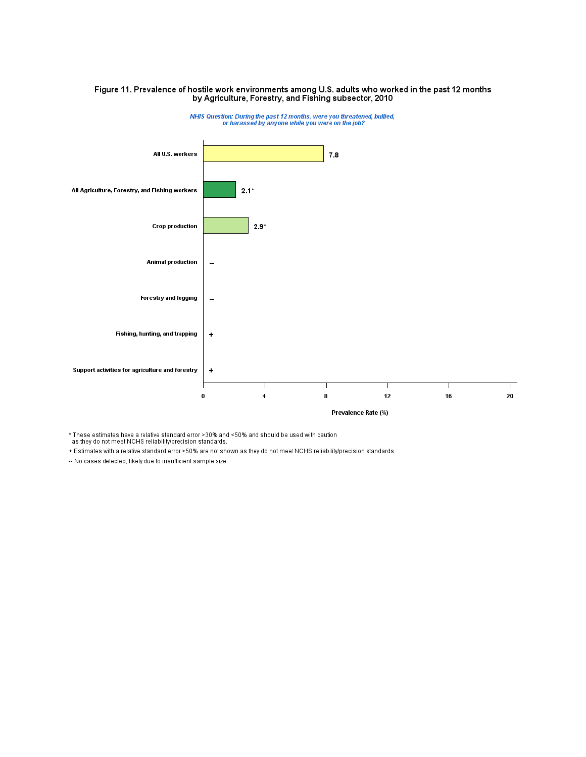

# Figure 11. Prevalence of hostile work environments among U.S. adults who worked in the past 12 months<br>by Agriculture, Forestry, and Fishing subsector, 2010

\* These estimates have a relative standard error >30% and <50% and should be used with caution<br>as they do not meet NCHS reliability/precision standards.

+ Estimates with a relative standard error >50% are not shown as they do not meet NCHS reliability/precision standards.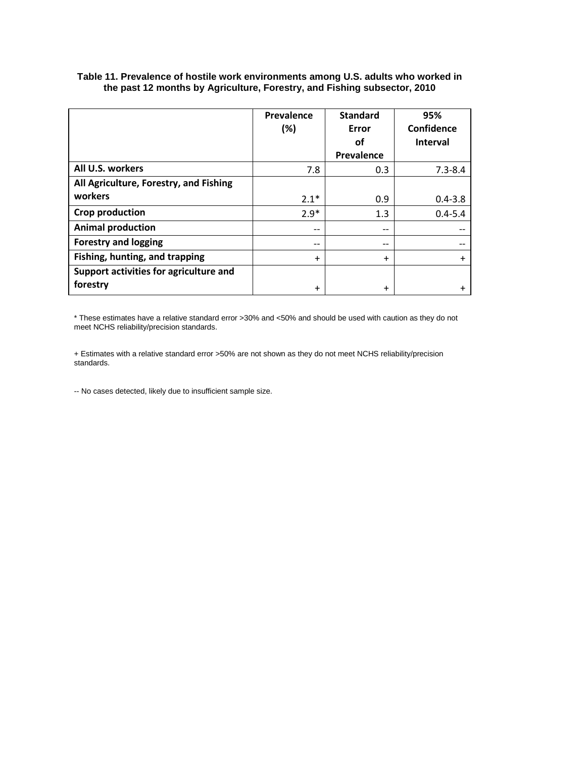|                                        | Prevalence<br>$(\%)$ | <b>Standard</b><br>Error | 95%<br>Confidence |
|----------------------------------------|----------------------|--------------------------|-------------------|
|                                        |                      | οf                       | <b>Interval</b>   |
|                                        |                      | Prevalence               |                   |
| All U.S. workers                       | 7.8                  | 0.3                      | $7.3 - 8.4$       |
| All Agriculture, Forestry, and Fishing |                      |                          |                   |
| workers                                | $2.1*$               | 0.9                      | $0.4 - 3.8$       |
| Crop production                        | $2.9*$               | 1.3                      | $0.4 - 5.4$       |
| <b>Animal production</b>               |                      | $-$                      |                   |
| <b>Forestry and logging</b>            | $- -$                | $- -$                    |                   |
| Fishing, hunting, and trapping         | $\ddot{}$            | $\ddot{}$                | $\ddot{}$         |
| Support activities for agriculture and |                      |                          |                   |
| forestry                               | $\ddot{}$            | $\ddot{}$                |                   |

**Table 11. Prevalence of hostile work environments among U.S. adults who worked in the past 12 months by Agriculture, Forestry, and Fishing subsector, 2010**

\* These estimates have a relative standard error >30% and <50% and should be used with caution as they do not meet NCHS reliability/precision standards.

+ Estimates with a relative standard error >50% are not shown as they do not meet NCHS reliability/precision standards.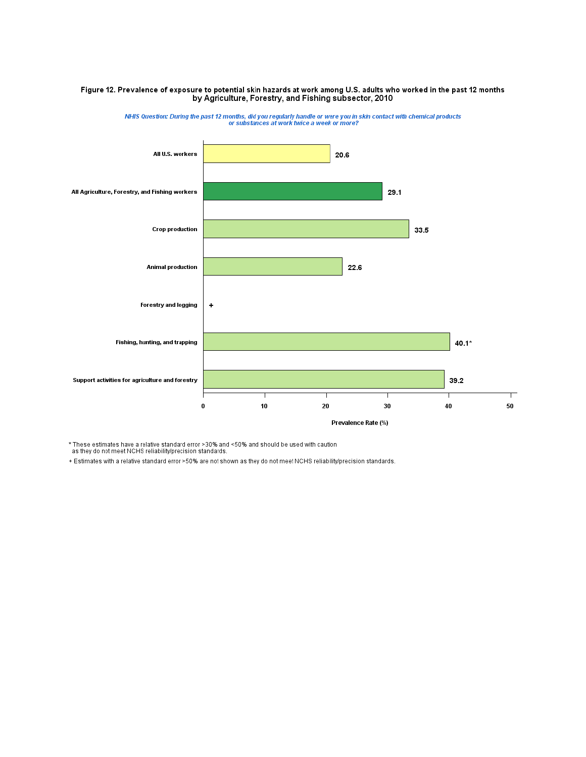#### Figure 12. Prevalence of exposure to potential skin hazards at work among U.S. adults who worked in the past 12 months by Agriculture, Forestry, and Fishing subsector, 2010



NHIS Question: During the past 12 months, did you regularly handle or were you in skin contact with chemical products<br>or substances at work twice a week or more?

\* These estimates have a relative standard error >30% and <50% and should be used with caution<br>as they do not meet NCHS reliability/precision standards.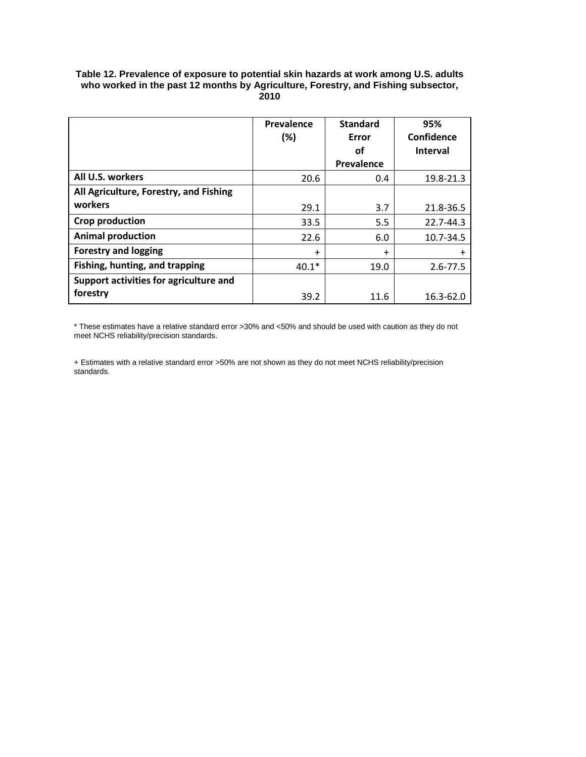#### **Table 12. Prevalence of exposure to potential skin hazards at work among U.S. adults who worked in the past 12 months by Agriculture, Forestry, and Fishing subsector, 2010**

|                                        | Prevalence<br>(%) | <b>Standard</b><br>Error<br>οf | 95%<br>Confidence<br><b>Interval</b> |
|----------------------------------------|-------------------|--------------------------------|--------------------------------------|
|                                        |                   | Prevalence                     |                                      |
| All U.S. workers                       | 20.6              | 0.4                            | 19.8-21.3                            |
| All Agriculture, Forestry, and Fishing |                   |                                |                                      |
| workers                                | 29.1              | 3.7                            | 21.8-36.5                            |
| Crop production                        | 33.5              | 5.5                            | 22.7-44.3                            |
| <b>Animal production</b>               | 22.6              | 6.0                            | 10.7-34.5                            |
| <b>Forestry and logging</b>            | $\ddot{}$         | $\ddot{}$                      | $\ddot{}$                            |
| Fishing, hunting, and trapping         | $40.1*$           | 19.0                           | $2.6 - 77.5$                         |
| Support activities for agriculture and |                   |                                |                                      |
| forestry                               | 39.2              | 11.6                           | 16.3-62.0                            |

\* These estimates have a relative standard error >30% and <50% and should be used with caution as they do not meet NCHS reliability/precision standards.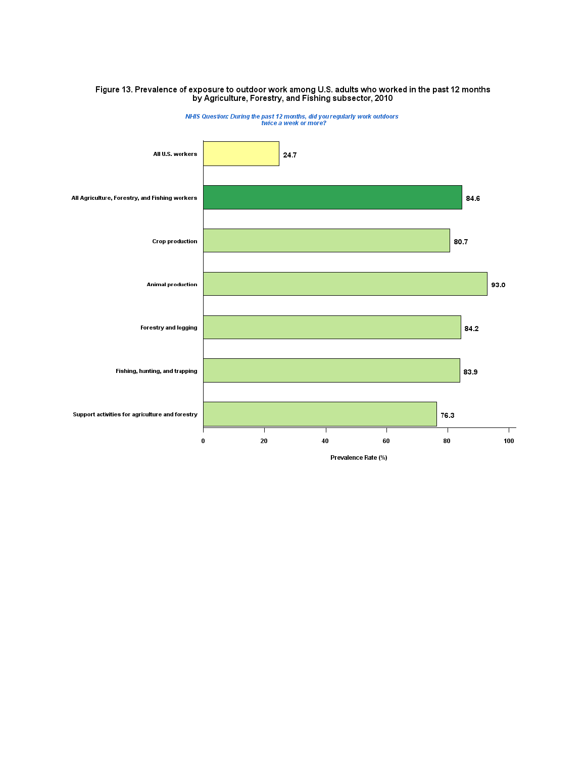

# Figure 13. Prevalence of exposure to outdoor work among U.S. adults who worked in the past 12 months<br>by Agriculture, Forestry, and Fishing subsector, 2010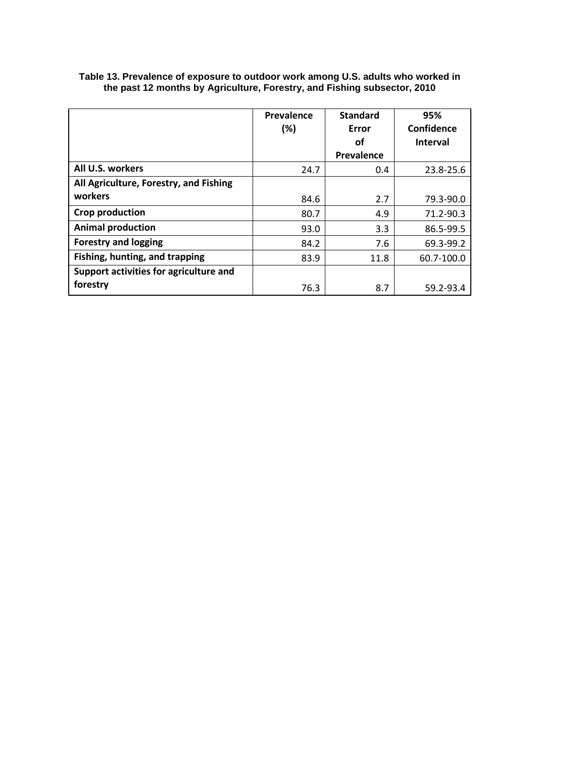|                                        | Prevalence | <b>Standard</b> | 95%             |
|----------------------------------------|------------|-----------------|-----------------|
|                                        | (%)        | Error           | Confidence      |
|                                        |            | οf              | <b>Interval</b> |
|                                        |            | Prevalence      |                 |
| All U.S. workers                       | 24.7       | 0.4             | 23.8-25.6       |
| All Agriculture, Forestry, and Fishing |            |                 |                 |
| workers                                | 84.6       | 2.7             | 79.3-90.0       |
| <b>Crop production</b>                 | 80.7       | 4.9             | 71.2-90.3       |
| <b>Animal production</b>               | 93.0       | 3.3             | 86.5-99.5       |
| <b>Forestry and logging</b>            | 84.2       | 7.6             | 69.3-99.2       |
| Fishing, hunting, and trapping         | 83.9       | 11.8            | 60.7-100.0      |
| Support activities for agriculture and |            |                 |                 |
| forestry                               | 76.3       | 8.7             | 59.2-93.4       |

**Table 13. Prevalence of exposure to outdoor work among U.S. adults who worked in the past 12 months by Agriculture, Forestry, and Fishing subsector, 2010**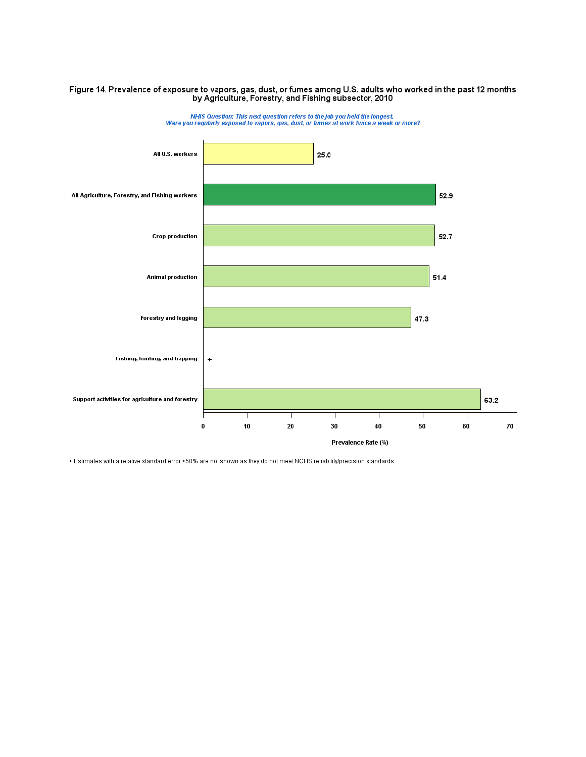# Figure 14. Prevalence of exposure to vapors, gas, dust, or fumes among U.S. adults who worked in the past 12 months<br>by Agriculture, Forestry, and Fishing subsector, 2010



NHIS Question: This next question refers to the job you held the longest.<br>Were you regularly exposed to vapors, gas, dust, or fumes at work twice a week or more?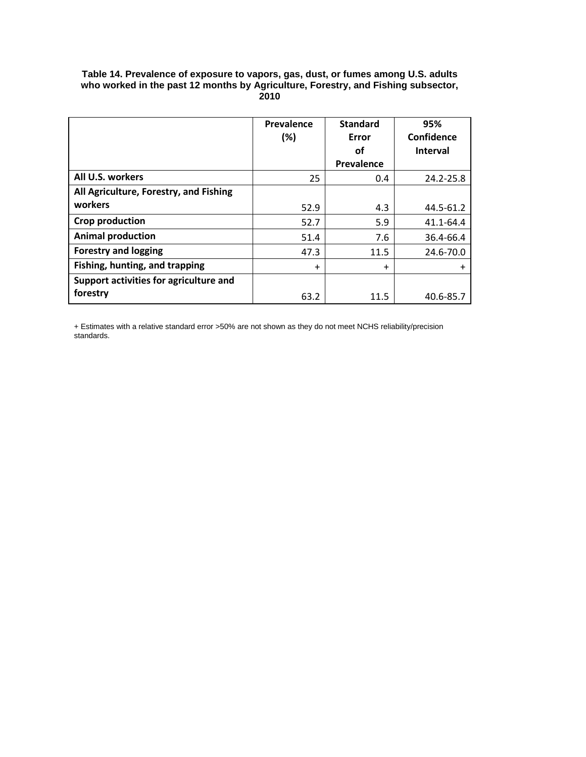### **Table 14. Prevalence of exposure to vapors, gas, dust, or fumes among U.S. adults who worked in the past 12 months by Agriculture, Forestry, and Fishing subsector, 2010**

|                                        | Prevalence<br>(%) | <b>Standard</b><br>Error<br>οf | 95%<br>Confidence<br><b>Interval</b> |
|----------------------------------------|-------------------|--------------------------------|--------------------------------------|
|                                        |                   | Prevalence                     |                                      |
| All U.S. workers                       | 25                | 0.4                            | 24.2-25.8                            |
| All Agriculture, Forestry, and Fishing |                   |                                |                                      |
| workers                                | 52.9              | 4.3                            | 44.5-61.2                            |
| Crop production                        | 52.7              | 5.9                            | 41.1-64.4                            |
| <b>Animal production</b>               | 51.4              | 7.6                            | 36.4-66.4                            |
| <b>Forestry and logging</b>            | 47.3              | 11.5                           | 24.6-70.0                            |
| Fishing, hunting, and trapping         | $\ddot{}$         | $\ddot{}$                      | $\ddot{}$                            |
| Support activities for agriculture and |                   |                                |                                      |
| forestry                               | 63.2              | 11.5                           | 40.6-85.7                            |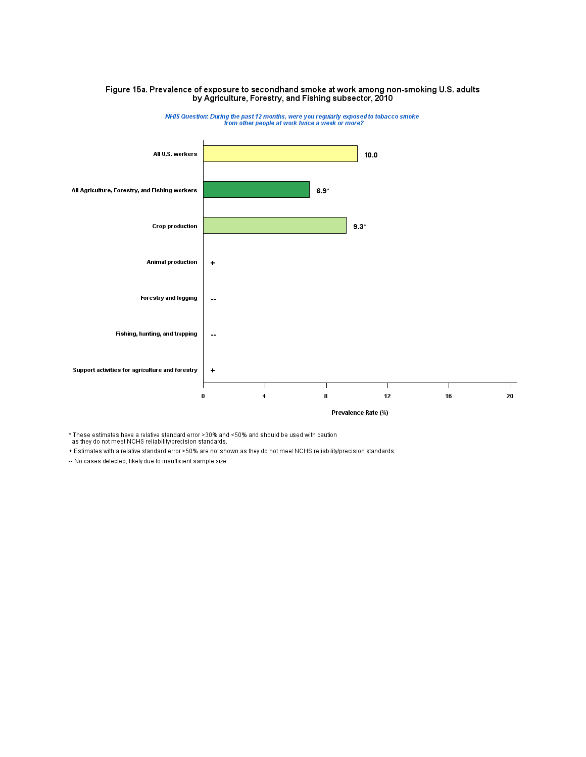# Figure 15a. Prevalence of exposure to secondhand smoke at work among non-smoking U.S. adults<br>by Agriculture, Forestry, and Fishing subsector, 2010



NHIS Question: During the past 12 months, were you regularly exposed to tobacco smoke<br>from other people at work twice a week or more?

\* These estimates have a relative standard error >30% and <50% and should be used with caution<br>as they do not meet NCHS reliability/precision standards.

+ Estimates with a relative standard error >50% are not shown as they do not meet NCHS reliability/precision standards.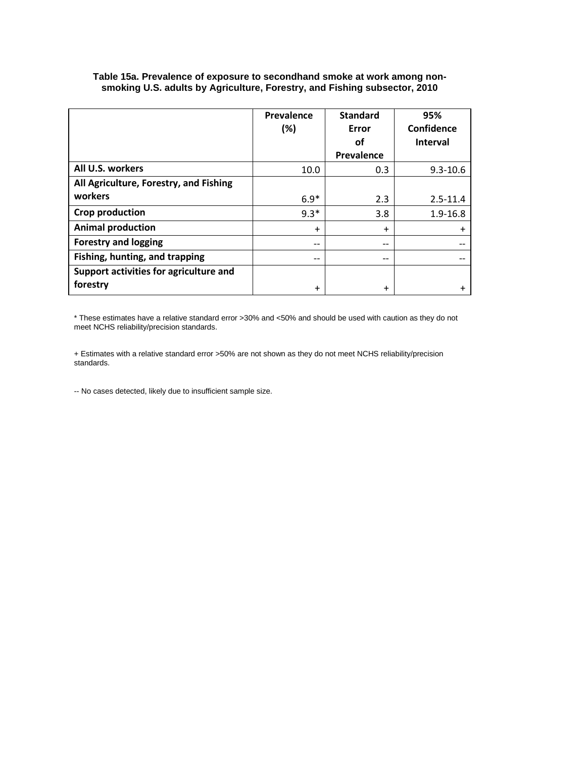|                                        | Prevalence | <b>Standard</b> | 95%             |
|----------------------------------------|------------|-----------------|-----------------|
|                                        | (%)        | Error           | Confidence      |
|                                        |            | οf              | <b>Interval</b> |
|                                        |            | Prevalence      |                 |
| All U.S. workers                       | 10.0       | 0.3             | $9.3 - 10.6$    |
| All Agriculture, Forestry, and Fishing |            |                 |                 |
| workers                                | $6.9*$     | 2.3             | $2.5 - 11.4$    |
| Crop production                        | $9.3*$     | 3.8             | $1.9 - 16.8$    |
| <b>Animal production</b>               | $\ddot{}$  | $+$             | $\ddot{}$       |
| <b>Forestry and logging</b>            | $- -$      | $- -$           |                 |
| Fishing, hunting, and trapping         | $- -$      | $-$             |                 |
| Support activities for agriculture and |            |                 |                 |
| forestry                               | $\ddot{}$  | $\ddot{}$       |                 |

**Table 15a. Prevalence of exposure to secondhand smoke at work among nonsmoking U.S. adults by Agriculture, Forestry, and Fishing subsector, 2010**

\* These estimates have a relative standard error >30% and <50% and should be used with caution as they do not meet NCHS reliability/precision standards.

+ Estimates with a relative standard error >50% are not shown as they do not meet NCHS reliability/precision standards.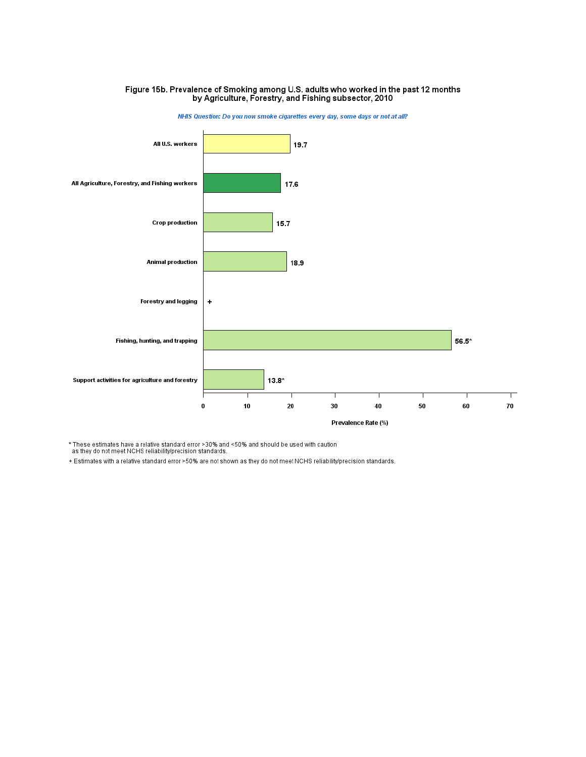# Figure 15b. Prevalence of Smoking among U.S. adults who worked in the past 12 months<br>by Agriculture, Forestry, and Fishing subsector, 2010



NHIS Question: Do you now smoke cigarettes every day, some days or not at all?

\* These estimates have a relative standard error >30% and <50% and should be used with caution<br>as they do not meet NCHS reliability/precision standards.